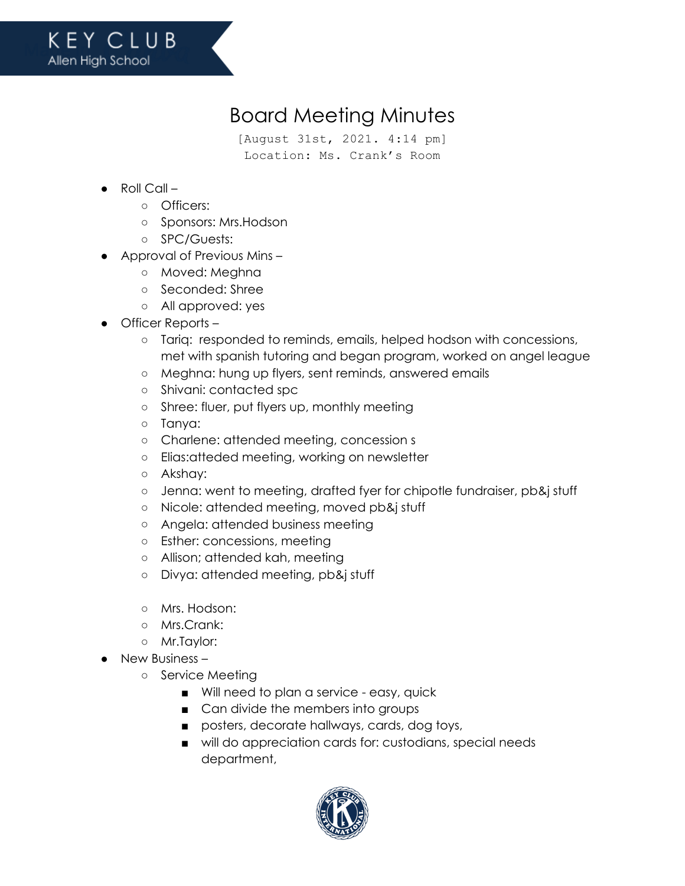## Board Meeting Minutes

[August 31st, 2021. 4:14 pm] Location: Ms. Crank's Room

- $\bullet$  Roll Call
	- Officers:
	- Sponsors: Mrs.Hodson
	- SPC/Guests:
- Approval of Previous Mins
	- Moved: Meghna
	- Seconded: Shree
	- All approved: yes
- Officer Reports
	- Tariq: responded to reminds, emails, helped hodson with concessions, met with spanish tutoring and began program, worked on angel league
	- Meghna: hung up flyers, sent reminds, answered emails
	- Shivani: contacted spc
	- Shree: fluer, put flyers up, monthly meeting
	- Tanya:
	- Charlene: attended meeting, concession s
	- Elias:atteded meeting, working on newsletter
	- Akshay:
	- Jenna: went to meeting, drafted fyer for chipotle fundraiser, pb&j stuff
	- Nicole: attended meeting, moved pb&j stuff
	- Angela: attended business meeting
	- Esther: concessions, meeting
	- Allison; attended kah, meeting
	- Divya: attended meeting, pb&j stuff
	- Mrs. Hodson:
	- Mrs.Crank:
	- Mr.Taylor:
	- New Business
		- Service Meeting
			- Will need to plan a service easy, quick
			- Can divide the members into groups
			- posters, decorate hallways, cards, dog toys,
			- will do appreciation cards for: custodians, special needs department,